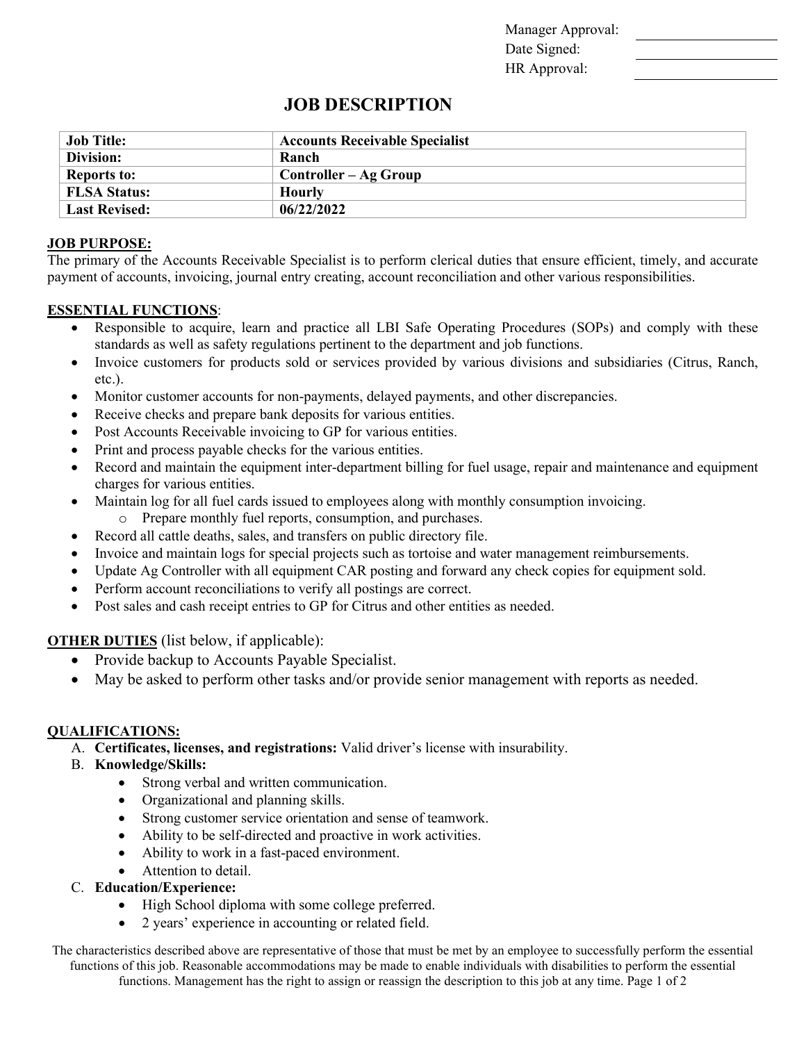Manager Approval: Date Signed: HR Approval:

# **JOB DESCRIPTION**

| <b>Job Title:</b>    | <b>Accounts Receivable Specialist</b> |
|----------------------|---------------------------------------|
| Division:            | Ranch                                 |
| <b>Reports to:</b>   | Controller – Ag Group                 |
| <b>FLSA Status:</b>  | Hourly                                |
| <b>Last Revised:</b> | 06/22/2022                            |

### **JOB PURPOSE:**

The primary of the Accounts Receivable Specialist is to perform clerical duties that ensure efficient, timely, and accurate payment of accounts, invoicing, journal entry creating, account reconciliation and other various responsibilities.

## **ESSENTIAL FUNCTIONS**:

- Responsible to acquire, learn and practice all LBI Safe Operating Procedures (SOPs) and comply with these standards as well as safety regulations pertinent to the department and job functions.
- Invoice customers for products sold or services provided by various divisions and subsidiaries (Citrus, Ranch, etc.).
- Monitor customer accounts for non-payments, delayed payments, and other discrepancies.
- Receive checks and prepare bank deposits for various entities.
- Post Accounts Receivable invoicing to GP for various entities.
- Print and process payable checks for the various entities.
- Record and maintain the equipment inter-department billing for fuel usage, repair and maintenance and equipment charges for various entities.
- Maintain log for all fuel cards issued to employees along with monthly consumption invoicing.
	- o Prepare monthly fuel reports, consumption, and purchases.
- Record all cattle deaths, sales, and transfers on public directory file.
- Invoice and maintain logs for special projects such as tortoise and water management reimbursements.
- Update Ag Controller with all equipment CAR posting and forward any check copies for equipment sold.
- Perform account reconciliations to verify all postings are correct.
- Post sales and cash receipt entries to GP for Citrus and other entities as needed.

# **OTHER DUTIES** (list below, if applicable):

- Provide backup to Accounts Payable Specialist.
- May be asked to perform other tasks and/or provide senior management with reports as needed.

#### **QUALIFICATIONS:**

- A. **Certificates, licenses, and registrations:** Valid driver's license with insurability.
- B. **Knowledge/Skills:**
	- Strong verbal and written communication.
	- Organizational and planning skills.
	- Strong customer service orientation and sense of teamwork.
	- Ability to be self-directed and proactive in work activities.
	- Ability to work in a fast-paced environment.
	- Attention to detail.

# C. **Education/Experience:**

- High School diploma with some college preferred.
- 2 years' experience in accounting or related field.
- The characteristics described above are representative of those that must be met by an employee to successfully perform the essential functions of this job. Reasonable accommodations may be made to enable individuals with disabilities to perform the essential functions. Management has the right to assign or reassign the description to this job at any time. Page 1 of 2